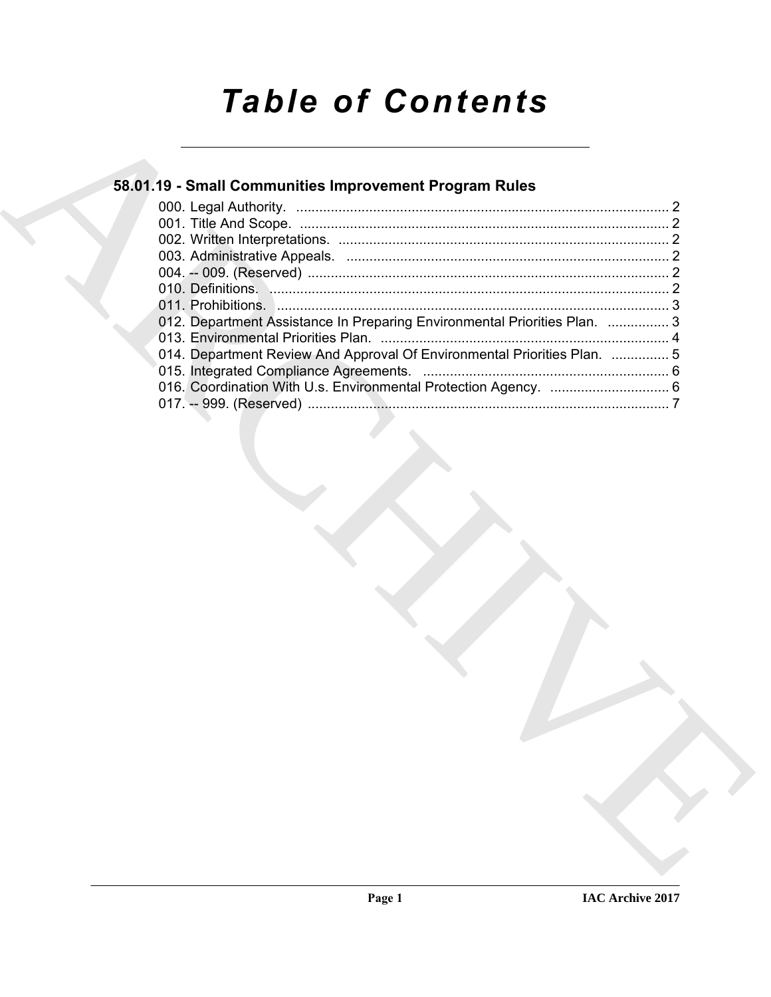# *Table of Contents*

| 58.01.19 - Small Communities Improvement Program Rules                    |  |
|---------------------------------------------------------------------------|--|
|                                                                           |  |
|                                                                           |  |
|                                                                           |  |
|                                                                           |  |
|                                                                           |  |
| 012. Department Assistance In Preparing Environmental Priorities Plan.  3 |  |
|                                                                           |  |
| 014. Department Review And Approval Of Environmental Priorities Plan.  5  |  |
|                                                                           |  |
|                                                                           |  |
|                                                                           |  |
|                                                                           |  |
|                                                                           |  |
|                                                                           |  |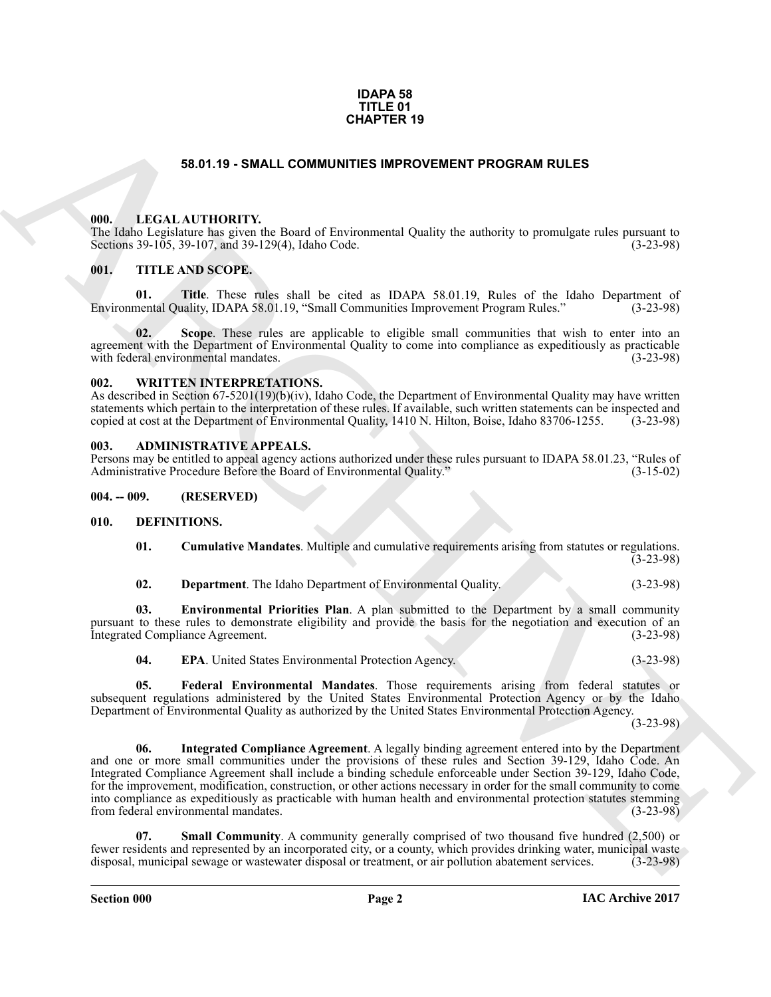#### **IDAPA 58 TITLE 01 CHAPTER 19**

## **58.01.19 - SMALL COMMUNITIES IMPROVEMENT PROGRAM RULES**

#### <span id="page-1-1"></span><span id="page-1-0"></span>**000. LEGAL AUTHORITY.**

The Idaho Legislature has given the Board of Environmental Quality the authority to promulgate rules pursuant to Sections 39-105, 39-107, and 39-129(4), Idaho Code. (3-23-98)

### <span id="page-1-2"></span>**001. TITLE AND SCOPE.**

**01.** Title. These rules shall be cited as IDAPA 58.01.19, Rules of the Idaho Department of neutral Ouality. IDAPA 58.01.19. "Small Communities Improvement Program Rules." (3-23-98) Environmental Quality, IDAPA 58.01.19, "Small Communities Improvement Program Rules."

**02. Scope**. These rules are applicable to eligible small communities that wish to enter into an agreement with the Department of Environmental Quality to come into compliance as expeditiously as practicable with federal environmental mandates. (3-23-98) with federal environmental mandates.

#### <span id="page-1-3"></span>**002. WRITTEN INTERPRETATIONS.**

As described in Section 67-5201(19)(b)(iv), Idaho Code, the Department of Environmental Quality may have written statements which pertain to the interpretation of these rules. If available, such written statements can be inspected and copied at cost at the Department of Environmental Quality, 1410 N. Hilton, Boise, Idaho 83706-1255. copied at cost at the Department of Environmental Quality, 1410 N. Hilton, Boise, Idaho 83706-1255.

#### <span id="page-1-4"></span>**003. ADMINISTRATIVE APPEALS.**

Persons may be entitled to appeal agency actions authorized under these rules pursuant to IDAPA 58.01.23, "Rules of Administrative Procedure Before the Board of Environmental Quality." (3-15-02) Administrative Procedure Before the Board of Environmental Quality."

<span id="page-1-5"></span>**004. -- 009. (RESERVED)**

#### <span id="page-1-6"></span>**010. DEFINITIONS.**

<span id="page-1-7"></span>**01. Cumulative Mandates**. Multiple and cumulative requirements arising from statutes or regulations.  $(3-23-98)$ 

<span id="page-1-9"></span><span id="page-1-8"></span>**02. Department**. The Idaho Department of Environmental Quality. (3-23-98)

**03. Environmental Priorities Plan**. A plan submitted to the Department by a small community pursuant to these rules to demonstrate eligibility and provide the basis for the negotiation and execution of an<br>Integrated Compliance Agreement. (3-23-98) Integrated Compliance Agreement.

<span id="page-1-12"></span><span id="page-1-11"></span><span id="page-1-10"></span>**04. EPA**. United States Environmental Protection Agency. (3-23-98)

**05. Federal Environmental Mandates**. Those requirements arising from federal statutes or subsequent regulations administered by the United States Environmental Protection Agency or by the Idaho Department of Environmental Quality as authorized by the United States Environmental Protection Agency.

(3-23-98)

**EXAMPLE THE AND COMMUNITIES IMPROVEMENT PROGRAM RULES**<br> **CALCATIONITY** in Duel of Environmental Otality the authority or promotions the present of the property of the Community of Property (1973-2019)<br> **CALCATIONITY: A 06. Integrated Compliance Agreement**. A legally binding agreement entered into by the Department and one or more small communities under the provisions of these rules and Section 39-129, Idaho Code. An Integrated Compliance Agreement shall include a binding schedule enforceable under Section 39-129, Idaho Code, for the improvement, modification, construction, or other actions necessary in order for the small community to come into compliance as expeditiously as practicable with human health and environmental protection statutes stemming from federal environmental mandates.

<span id="page-1-13"></span>**07. Small Community**. A community generally comprised of two thousand five hundred (2,500) or fewer residents and represented by an incorporated city, or a county, which provides drinking water, municipal waste disposal, municipal sewage or wastewater disposal or treatment, or air pollution abatement services. (3-23-98)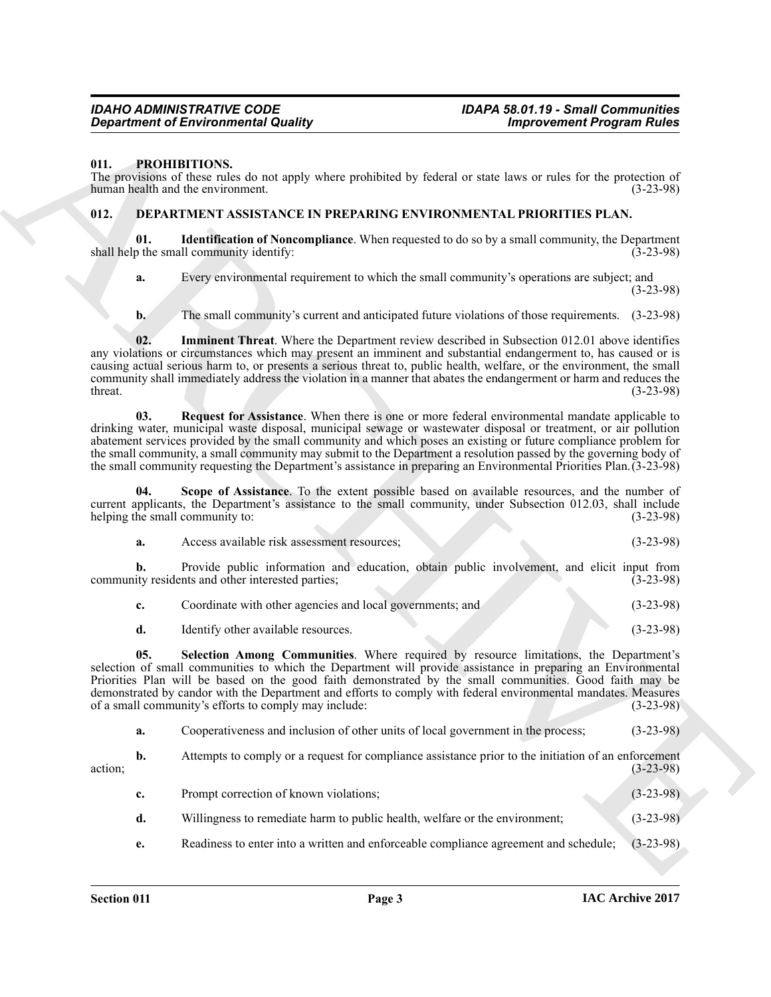#### <span id="page-2-0"></span>**011. PROHIBITIONS.**

The provisions of these rules do not apply where prohibited by federal or state laws or rules for the protection of human health and the environment. (3-23-98)

# <span id="page-2-2"></span><span id="page-2-1"></span>**012. DEPARTMENT ASSISTANCE IN PREPARING ENVIRONMENTAL PRIORITIES PLAN.**

**Identification of Noncompliance**. When requested to do so by a small community, the Department III community identify: (3-23-98) shall help the small community identify:

<span id="page-2-3"></span>**a.** Every environmental requirement to which the small community's operations are subject; and (3-23-98)

<span id="page-2-4"></span>**b.** The small community's current and anticipated future violations of those requirements. (3-23-98)

**02. Imminent Threat**. Where the Department review described in Subsection 012.01 above identifies any violations or circumstances which may present an imminent and substantial endangerment to, has caused or is causing actual serious harm to, or presents a serious threat to, public health, welfare, or the environment, the small community shall immediately address the violation in a manner that abates the endangerment or harm and reduces the  $t$ hreat.  $(3-23-98)$ 

<span id="page-2-5"></span>**03. Request for Assistance**. When there is one or more federal environmental mandate applicable to drinking water, municipal waste disposal, municipal sewage or wastewater disposal or treatment, or air pollution abatement services provided by the small community and which poses an existing or future compliance problem for the small community, a small community may submit to the Department a resolution passed by the governing body of the small community requesting the Department's assistance in preparing an Environmental Priorities Plan.(3-23-98)

**Scope of Assistance**. To the extent possible based on available resources, and the number of current applicants, the Department's assistance to the small community, under Subsection 012.03, shall include helping the small community to: (3-23-98) helping the small community to:

<span id="page-2-6"></span>

| а. | Access available risk assessment resources; |  | $(3-23-98)$ |
|----|---------------------------------------------|--|-------------|
|    |                                             |  |             |

**b.** Provide public information and education, obtain public involvement, and elicit input from ity residents and other interested parties; (3-23-98) community residents and other interested parties;

<span id="page-2-7"></span>

|  | Identify other available resources. |  |  | $(3-23-98)$ |
|--|-------------------------------------|--|--|-------------|
|--|-------------------------------------|--|--|-------------|

**Consistencial Countries of the Countries Constant Countries Consistencial Countries (1998)<br>
11. PRODUITIONS ARCHIVE STATE AND THE CONSISTENT CONTINUES IN A PARTICULAR CONSISTENT OF THE CONSISTENT OF THE CONSISTENT OF THE 05. Selection Among Communities**. Where required by resource limitations, the Department's selection of small communities to which the Department will provide assistance in preparing an Environmental Priorities Plan will be based on the good faith demonstrated by the small communities. Good faith may be demonstrated by candor with the Department and efforts to comply with federal environmental mandates. Measures of a small community's efforts to comply may include: (3-23-98) of a small community's efforts to comply may include:

|  | а. |  | Cooperativeness and inclusion of other units of local government in the process; | $(3-23-98)$ |
|--|----|--|----------------------------------------------------------------------------------|-------------|
|--|----|--|----------------------------------------------------------------------------------|-------------|

**b.** Attempts to comply or a request for compliance assistance prior to the initiation of an enforcement (3-23-98)  $\alpha$  action;  $(3-23-98)$ 

| c. | Prompt correction of known violations;                                      | $(3-23-98)$ |
|----|-----------------------------------------------------------------------------|-------------|
| d. | Willingness to remediate harm to public health, welfare or the environment; | $(3-23-98)$ |

**e.** Readiness to enter into a written and enforceable compliance agreement and schedule; (3-23-98)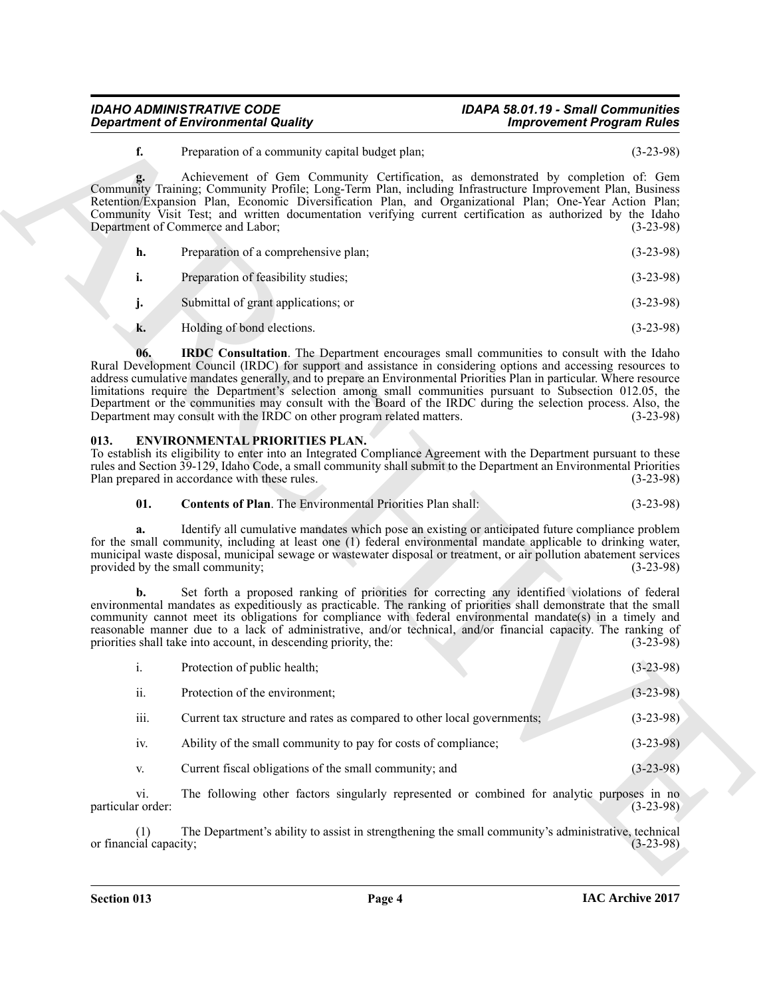# *IDAHO ADMINISTRATIVE CODE IDAPA 58.01.19 - Small Communities Department of Environmental Quality*

<span id="page-3-1"></span>

| Preparation of a comprehensive plan; | $(3-23-98)$ |
|--------------------------------------|-------------|
| Preparation of feasibility studies;  | $(3-23-98)$ |

#### <span id="page-3-3"></span><span id="page-3-2"></span><span id="page-3-0"></span>**013. ENVIRONMENTAL PRIORITIES PLAN.**

|                          | <b>Department of Environmental Quality</b>                                                                                                                                                                                                                                                                                                                                                                                                                                                                                                                                                                                               | <b>Improvement Program Rules</b> |
|--------------------------|------------------------------------------------------------------------------------------------------------------------------------------------------------------------------------------------------------------------------------------------------------------------------------------------------------------------------------------------------------------------------------------------------------------------------------------------------------------------------------------------------------------------------------------------------------------------------------------------------------------------------------------|----------------------------------|
| f.                       | Preparation of a community capital budget plan;                                                                                                                                                                                                                                                                                                                                                                                                                                                                                                                                                                                          | $(3-23-98)$                      |
| g.                       | Achievement of Gem Community Certification, as demonstrated by completion of: Gem<br>Community Training; Community Profile; Long-Term Plan, including Infrastructure Improvement Plan, Business<br>Retention/Expansion Plan, Economic Diversification Plan, and Organizational Plan, One-Year Action Plan,<br>Community Visit Test; and written documentation verifying current certification as authorized by the Idaho<br>Department of Commerce and Labor;                                                                                                                                                                            | $(3-23-98)$                      |
| h.                       | Preparation of a comprehensive plan;                                                                                                                                                                                                                                                                                                                                                                                                                                                                                                                                                                                                     | $(3-23-98)$                      |
| i.                       | Preparation of feasibility studies;                                                                                                                                                                                                                                                                                                                                                                                                                                                                                                                                                                                                      | $(3-23-98)$                      |
| j.                       | Submittal of grant applications; or                                                                                                                                                                                                                                                                                                                                                                                                                                                                                                                                                                                                      | $(3-23-98)$                      |
| k.                       | Holding of bond elections.                                                                                                                                                                                                                                                                                                                                                                                                                                                                                                                                                                                                               | $(3-23-98)$                      |
| 06.                      | IRDC Consultation. The Department encourages small communities to consult with the Idaho<br>Rural Development Council (IRDC) for support and assistance in considering options and accessing resources to<br>address cumulative mandates generally, and to prepare an Environmental Priorities Plan in particular. Where resource<br>limitations require the Department's selection among small communities pursuant to Subsection 012.05, the<br>Department or the communities may consult with the Board of the IRDC during the selection process. Also, the<br>Department may consult with the IRDC on other program related matters. | $(3-23-98)$                      |
| 013.                     | <b>ENVIRONMENTAL PRIORITIES PLAN.</b><br>To establish its eligibility to enter into an Integrated Compliance Agreement with the Department pursuant to these<br>rules and Section 39-129, Idaho Code, a small community shall submit to the Department an Environmental Priorities<br>Plan prepared in accordance with these rules.                                                                                                                                                                                                                                                                                                      | $(3-23-98)$                      |
| 01.                      | <b>Contents of Plan.</b> The Environmental Priorities Plan shall:                                                                                                                                                                                                                                                                                                                                                                                                                                                                                                                                                                        | $(3-23-98)$                      |
| a.                       | Identify all cumulative mandates which pose an existing or anticipated future compliance problem<br>for the small community, including at least one (1) federal environmental mandate applicable to drinking water,<br>municipal waste disposal, municipal sewage or wastewater disposal or treatment, or air pollution abatement services<br>provided by the small community;                                                                                                                                                                                                                                                           | $(3-23-98)$                      |
| b.                       | Set forth a proposed ranking of priorities for correcting any identified violations of federal<br>environmental mandates as expeditiously as practicable. The ranking of priorities shall demonstrate that the small<br>community cannot meet its obligations for compliance with federal environmental mandate(s) in a timely and<br>reasonable manner due to a lack of administrative, and/or technical, and/or financial capacity. The ranking of<br>priorities shall take into account, in descending priority, the:                                                                                                                 | $(3-23-98)$                      |
| $\mathbf{i}$ .           | Protection of public health;                                                                                                                                                                                                                                                                                                                                                                                                                                                                                                                                                                                                             | $(3-23-98)$                      |
| ii.                      | Protection of the environment;                                                                                                                                                                                                                                                                                                                                                                                                                                                                                                                                                                                                           | $(3-23-98)$                      |
| iii.                     | Current tax structure and rates as compared to other local governments;                                                                                                                                                                                                                                                                                                                                                                                                                                                                                                                                                                  | $(3-23-98)$                      |
| iv.                      | Ability of the small community to pay for costs of compliance;                                                                                                                                                                                                                                                                                                                                                                                                                                                                                                                                                                           | $(3-23-98)$                      |
| V.                       | Current fiscal obligations of the small community; and                                                                                                                                                                                                                                                                                                                                                                                                                                                                                                                                                                                   | $(3-23-98)$                      |
| vi.<br>particular order: | The following other factors singularly represented or combined for analytic purposes in no                                                                                                                                                                                                                                                                                                                                                                                                                                                                                                                                               | $(3-23-98)$                      |
|                          |                                                                                                                                                                                                                                                                                                                                                                                                                                                                                                                                                                                                                                          |                                  |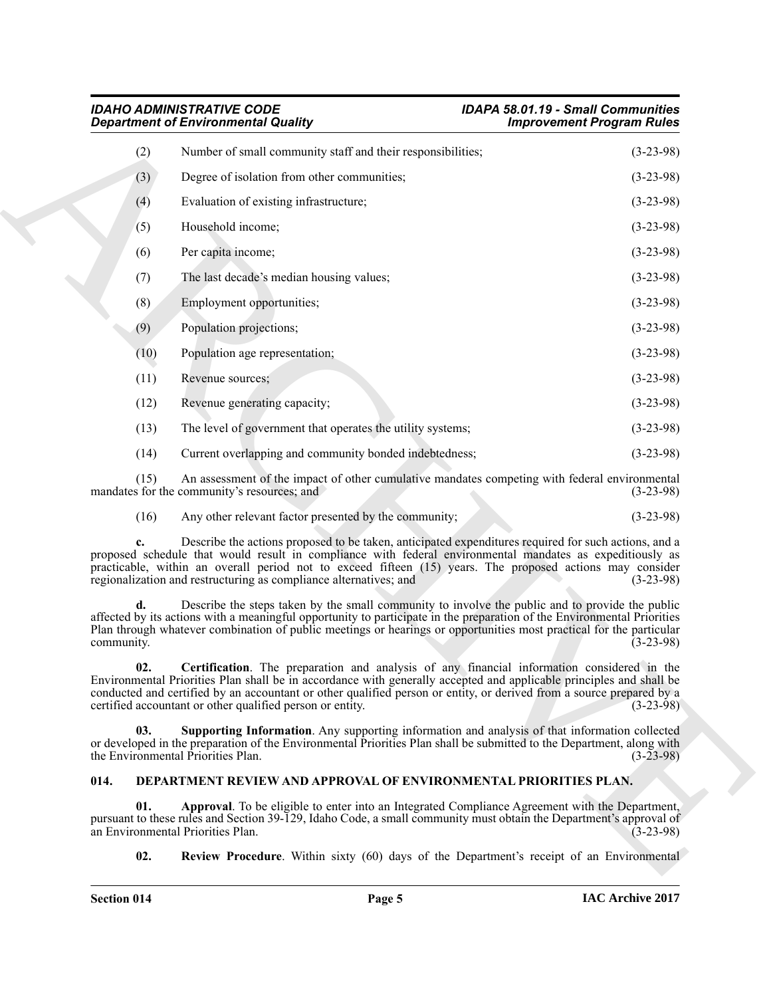|                  | <b>IDAHO ADMINISTRATIVE CODE</b><br><b>Department of Environmental Quality</b>                                                                                                                                                                                                                                                                                                                         | <b>IDAPA 58.01.19 - Small Communities</b><br><b>Improvement Program Rules</b> |
|------------------|--------------------------------------------------------------------------------------------------------------------------------------------------------------------------------------------------------------------------------------------------------------------------------------------------------------------------------------------------------------------------------------------------------|-------------------------------------------------------------------------------|
| (2)              | Number of small community staff and their responsibilities;                                                                                                                                                                                                                                                                                                                                            | $(3-23-98)$                                                                   |
| (3)              | Degree of isolation from other communities;                                                                                                                                                                                                                                                                                                                                                            | $(3-23-98)$                                                                   |
| (4)              | Evaluation of existing infrastructure;                                                                                                                                                                                                                                                                                                                                                                 | $(3-23-98)$                                                                   |
| (5)              | Household income;                                                                                                                                                                                                                                                                                                                                                                                      | $(3-23-98)$                                                                   |
| (6)              | Per capita income;                                                                                                                                                                                                                                                                                                                                                                                     | $(3-23-98)$                                                                   |
| (7)              | The last decade's median housing values;                                                                                                                                                                                                                                                                                                                                                               | $(3-23-98)$                                                                   |
| (8)              | Employment opportunities;                                                                                                                                                                                                                                                                                                                                                                              | $(3-23-98)$                                                                   |
| (9)              | Population projections;                                                                                                                                                                                                                                                                                                                                                                                | $(3-23-98)$                                                                   |
| (10)             | Population age representation;                                                                                                                                                                                                                                                                                                                                                                         | $(3-23-98)$                                                                   |
| (11)             | Revenue sources;                                                                                                                                                                                                                                                                                                                                                                                       | $(3-23-98)$                                                                   |
| (12)             | Revenue generating capacity;                                                                                                                                                                                                                                                                                                                                                                           | $(3-23-98)$                                                                   |
| (13)             | The level of government that operates the utility systems;                                                                                                                                                                                                                                                                                                                                             | $(3-23-98)$                                                                   |
| (14)             | Current overlapping and community bonded indebtedness;                                                                                                                                                                                                                                                                                                                                                 | $(3-23-98)$                                                                   |
| (15)             | An assessment of the impact of other cumulative mandates competing with federal environmental<br>mandates for the community's resources; and                                                                                                                                                                                                                                                           | $(3-23-98)$                                                                   |
| (16)             | Any other relevant factor presented by the community;                                                                                                                                                                                                                                                                                                                                                  | $(3-23-98)$                                                                   |
|                  | Describe the actions proposed to be taken, anticipated expenditures required for such actions, and a<br>proposed schedule that would result in compliance with federal environmental mandates as expeditiously as<br>practicable, within an overall period not to exceed fifteen (15) years. The proposed actions may consider<br>regionalization and restructuring as compliance alternatives; and    | $(3-23-98)$                                                                   |
| d.<br>community. | Describe the steps taken by the small community to involve the public and to provide the public<br>affected by its actions with a meaningful opportunity to participate in the preparation of the Environmental Priorities<br>Plan through whatever combination of public meetings or hearings or opportunities most practical for the particular                                                      | $(3-23-98)$                                                                   |
| 02.              | Certification. The preparation and analysis of any financial information considered in the<br>Environmental Priorities Plan shall be in accordance with generally accepted and applicable principles and shall be<br>conducted and certified by an accountant or other qualified person or entity, or derived from a source prepared by a<br>certified accountant or other qualified person or entity. | $(3-23-98)$                                                                   |
| 03.              | <b>Supporting Information.</b> Any supporting information and analysis of that information collected<br>or developed in the preparation of the Environmental Priorities Plan shall be submitted to the Department, along with<br>the Environmental Priorities Plan.                                                                                                                                    | $(3-23-98)$                                                                   |
| 014.             | DEPARTMENT REVIEW AND APPROVAL OF ENVIRONMENTAL PRIORITIES PLAN.                                                                                                                                                                                                                                                                                                                                       |                                                                               |
| 01.              | Approval. To be eligible to enter into an Integrated Compliance Agreement with the Department,<br>pursuant to these rules and Section 39-129, Idaho Code, a small community must obtain the Department's approval of<br>an Environmental Priorities Plan.                                                                                                                                              | $(3-23-98)$                                                                   |
| 02.              | <b>Review Procedure.</b> Within sixty (60) days of the Department's receipt of an Environmental                                                                                                                                                                                                                                                                                                        |                                                                               |

# <span id="page-4-5"></span><span id="page-4-4"></span><span id="page-4-3"></span><span id="page-4-2"></span><span id="page-4-1"></span><span id="page-4-0"></span>**014. DEPARTMENT REVIEW AND APPROVAL OF ENVIRONMENTAL PRIORITIES PLAN.**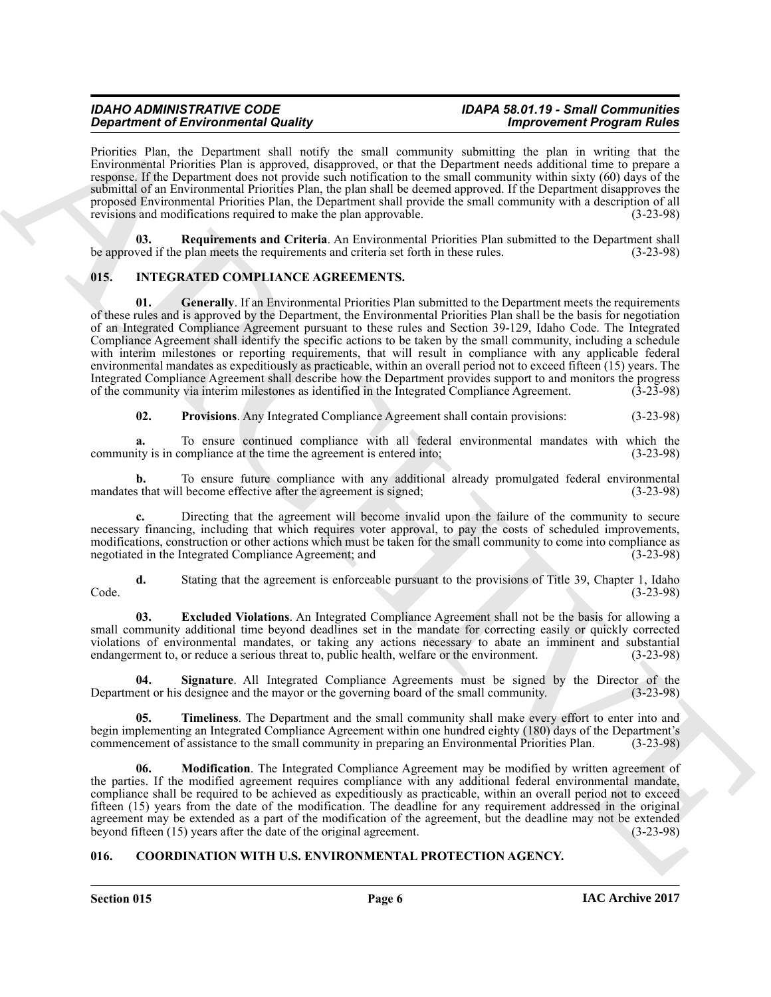# *IDAHO ADMINISTRATIVE CODE IDAPA 58.01.19 - Small Communities Department of Environmental Quality*

Priorities Plan, the Department shall notify the small community submitting the plan in writing that the Environmental Priorities Plan is approved, disapproved, or that the Department needs additional time to prepare a response. If the Department does not provide such notification to the small community within sixty (60) days of the submittal of an Environmental Priorities Plan, the plan shall be deemed approved. If the Department disapproves the proposed Environmental Priorities Plan, the Department shall provide the small community with a description of all revisions and modifications required to make the plan approvable. (3-23-98)

<span id="page-5-3"></span>**Requirements and Criteria**. An Environmental Priorities Plan submitted to the Department shall plan meets the requirements and criteria set forth in these rules. (3-23-98) be approved if the plan meets the requirements and criteria set forth in these rules.

# <span id="page-5-6"></span><span id="page-5-4"></span><span id="page-5-0"></span>**015. INTEGRATED COMPLIANCE AGREEMENTS.**

**Stationer of Entropy materials (and the same symmetry solutions by the symmetry and the same symmetry and the symmetry and the symmetry and the symmetry and the symmetry and the symmetry and the symmetry and the symmetry 01.** Generally. If an Environmental Priorities Plan submitted to the Department meets the requirements of these rules and is approved by the Department, the Environmental Priorities Plan shall be the basis for negotiation of an Integrated Compliance Agreement pursuant to these rules and Section 39-129, Idaho Code. The Integrated Compliance Agreement shall identify the specific actions to be taken by the small community, including a schedule with interim milestones or reporting requirements, that will result in compliance with any applicable federal environmental mandates as expeditiously as practicable, within an overall period not to exceed fifteen (15) years. The Integrated Compliance Agreement shall describe how the Department provides support to and monitors the progress of the community via interim milestones as identified in the Integrated Compliance Agreement. (3-23-98) of the community via interim milestones as identified in the Integrated Compliance Agreement. (3-23-98)

<span id="page-5-8"></span>**02. Provisions**. Any Integrated Compliance Agreement shall contain provisions: (3-23-98)

**a.** To ensure continued compliance with all federal environmental mandates with which the community is in compliance at the time the agreement is entered into; (3-23-98)

**b.** To ensure future compliance with any additional already promulgated federal environmental s that will become effective after the agreement is signed; (3-23-98) mandates that will become effective after the agreement is signed;

**c.** Directing that the agreement will become invalid upon the failure of the community to secure necessary financing, including that which requires voter approval, to pay the costs of scheduled improvements, modifications, construction or other actions which must be taken for the small community to come into compliance as negotiated in the Integrated Compliance Agreement; and (3-23-98) negotiated in the Integrated Compliance Agreement; and

**d.** Stating that the agreement is enforceable pursuant to the provisions of Title 39, Chapter 1, Idaho Code. (3-23-98)

<span id="page-5-5"></span>**03. Excluded Violations**. An Integrated Compliance Agreement shall not be the basis for allowing a small community additional time beyond deadlines set in the mandate for correcting easily or quickly corrected violations of environmental mandates, or taking any actions necessary to abate an imminent and substantial endangerment to, or reduce a serious threat to, public health, welfare or the environment. (3-23-98) endangerment to, or reduce a serious threat to, public health, welfare or the environment.

<span id="page-5-9"></span>**04.** Signature. All Integrated Compliance Agreements must be signed by the Director of the ent or his designee and the mayor or the governing board of the small community. (3-23-98) Department or his designee and the mayor or the governing board of the small community.

<span id="page-5-10"></span>**05. Timeliness**. The Department and the small community shall make every effort to enter into and begin implementing an Integrated Compliance Agreement within one hundred eighty (180) days of the Department's commencement of assistance to the small community in preparing an Environmental Priorities Plan. (3-23-98)

<span id="page-5-7"></span>**06. Modification**. The Integrated Compliance Agreement may be modified by written agreement of the parties. If the modified agreement requires compliance with any additional federal environmental mandate, compliance shall be required to be achieved as expeditiously as practicable, within an overall period not to exceed fifteen (15) years from the date of the modification. The deadline for any requirement addressed in the original agreement may be extended as a part of the modification of the agreement, but the deadline may not be extended<br>beyond fifteen (15) years after the date of the original agreement. (3-23-98) beyond fifteen  $(15)$  years after the date of the original agreement.

# <span id="page-5-2"></span><span id="page-5-1"></span>**016. COORDINATION WITH U.S. ENVIRONMENTAL PROTECTION AGENCY.**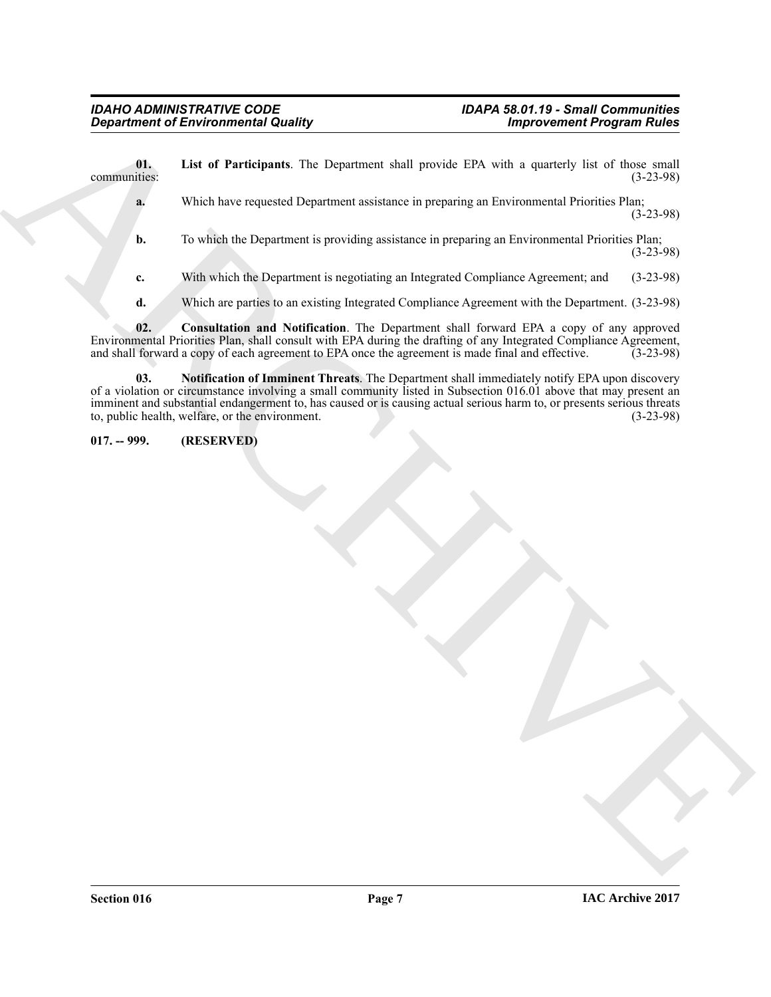Generation of Environmental Quality<br>
Unit of Participans. The Department shall provide EDA with a spacedy line of line that<br>
Which the crystal Department is provided as in properties as Environmental Prioric in Party 1999 **01.** List of Participants. The Department shall provide EPA with a quarterly list of those small communities: (3-23-98) communities: (3-23-98) **a.** Which have requested Department assistance in preparing an Environmental Priorities Plan; (3-23-98) **b.** To which the Department is providing assistance in preparing an Environmental Priorities Plan; (3-23-98)

<span id="page-6-2"></span>**c.** With which the Department is negotiating an Integrated Compliance Agreement; and (3-23-98)

<span id="page-6-3"></span><span id="page-6-1"></span>**d.** Which are parties to an existing Integrated Compliance Agreement with the Department. (3-23-98)

**02. Consultation and Notification**. The Department shall forward EPA a copy of any approved Environmental Priorities Plan, shall consult with EPA during the drafting of any Integrated Compliance Agreement, and shall forward a copy of each agreement to EPA once the agreement is made final and effective. (3-23-98) and shall forward a copy of each agreement to EPA once the agreement is made final and effective.

**03. Notification of Imminent Threats**. The Department shall immediately notify EPA upon discovery of a violation or circumstance involving a small community listed in Subsection 016.01 above that may present an imminent and substantial endangerment to, has caused or is causing actual serious harm to, or presents serious threats to, public health, welfare, or the environment. (3-23-98) to, public health, welfare, or the environment.

<span id="page-6-0"></span>**017. -- 999. (RESERVED)**